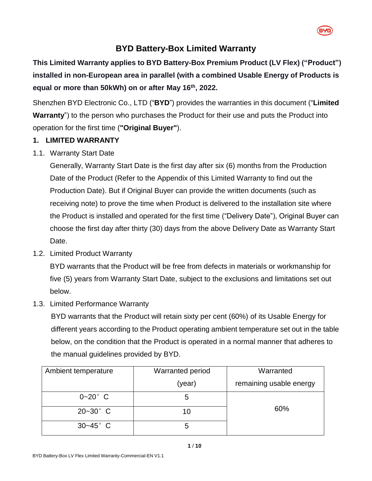

# **BYD Battery-Box Limited Warranty**

**This Limited Warranty applies to BYD Battery-Box Premium Product (LV Flex) ("Product") installed in non-European area in parallel (with a combined Usable Energy of Products is equal or more than 50kWh) on or after May 16 th , 2022.**

Shenzhen BYD Electronic Co., LTD ("**BYD**") provides the warranties in this document ("**Limited Warranty**") to the person who purchases the Product for their use and puts the Product into operation for the first time (**"Original Buyer"**).

# **1. LIMITED WARRANTY**

1.1. Warranty Start Date

Generally, Warranty Start Date is the first day after six (6) months from the Production Date of the Product (Refer to the Appendix of this Limited Warranty to find out the Production Date). But if Original Buyer can provide the written documents (such as receiving note) to prove the time when Product is delivered to the installation site where the Product is installed and operated for the first time ("Delivery Date"), Original Buyer can choose the first day after thirty (30) days from the above Delivery Date as Warranty Start Date.

<span id="page-0-1"></span>1.2. Limited Product Warranty

BYD warrants that the Product will be free from defects in materials or workmanship for five (5) years from Warranty Start Date, subject to the exclusions and limitations set out below.

<span id="page-0-0"></span>1.3. Limited Performance Warranty

BYD warrants that the Product will retain sixty per cent (60%) of its Usable Energy for different years according to the Product operating ambient temperature set out in the table below, on the condition that the Product is operated in a normal manner that adheres to the manual guidelines provided by BYD.

| Ambient temperature | <b>Warranted period</b> | Warranted               |
|---------------------|-------------------------|-------------------------|
|                     | (year)                  | remaining usable energy |
| $0 - 20^{\circ}$ C  | ხ                       |                         |
| $20 - 30^{\circ}$ C | 10                      | 60%                     |
| $30 - 45^{\circ}$ C | G                       |                         |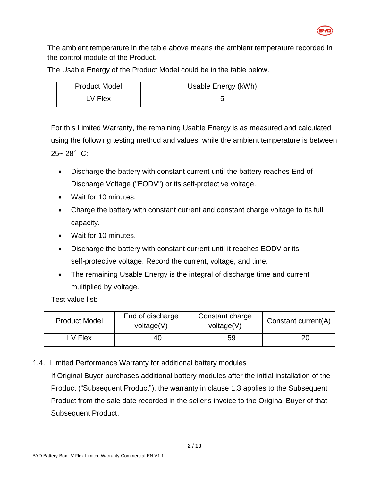

The ambient temperature in the table above means the ambient temperature recorded in the control module of the Product.

The Usable Energy of the Product Model could be in the table below.

| <b>Product Model</b> | Usable Energy (kWh) |
|----------------------|---------------------|
| LV Flex              |                     |

For this Limited Warranty, the remaining Usable Energy is as measured and calculated using the following testing method and values, while the ambient temperature is between 25~ 28°C:

- Discharge the battery with constant current until the battery reaches End of Discharge Voltage ("EODV") or its self-protective voltage.
- Wait for 10 minutes.
- Charge the battery with constant current and constant charge voltage to its full capacity.
- Wait for 10 minutes.
- Discharge the battery with constant current until it reaches EODV or its self-protective voltage. Record the current, voltage, and time.
- The remaining Usable Energy is the integral of discharge time and current multiplied by voltage.

Test value list:

| <b>Product Model</b> | End of discharge<br>voltage(V) | Constant charge<br>voltage(V) | Constant current(A) |
|----------------------|--------------------------------|-------------------------------|---------------------|
| LV Flex              | 40                             | 59                            | 20                  |

1.4. Limited Performance Warranty for additional battery modules

If Original Buyer purchases additional battery modules after the initial installation of the Product ("Subsequent Product"), the warranty in clause [1.3](#page-0-0) applies to the Subsequent Product from the sale date recorded in the seller's invoice to the Original Buyer of that Subsequent Product.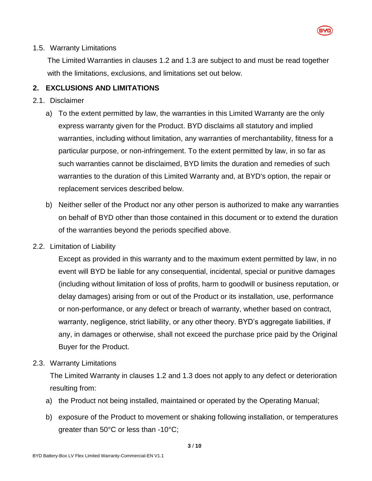

#### 1.5. Warranty Limitations

The Limited Warranties in clauses [1.2](#page-0-1) and [1.3](#page-0-0) are subject to and must be read together with the limitations, exclusions, and limitations set out below.

#### **2. EXCLUSIONS AND LIMITATIONS**

#### 2.1. Disclaimer

- a) To the extent permitted by law, the warranties in this Limited Warranty are the only express warranty given for the Product. BYD disclaims all statutory and implied warranties, including without limitation, any warranties of merchantability, fitness for a particular purpose, or non-infringement. To the extent permitted by law, in so far as such warranties cannot be disclaimed, BYD limits the duration and remedies of such warranties to the duration of this Limited Warranty and, at BYD's option, the repair or replacement services described below.
- b) Neither seller of the Product nor any other person is authorized to make any warranties on behalf of BYD other than those contained in this document or to extend the duration of the warranties beyond the periods specified above.
- 2.2. Limitation of Liability

Except as provided in this warranty and to the maximum extent permitted by law, in no event will BYD be liable for any consequential, incidental, special or punitive damages (including without limitation of loss of profits, harm to goodwill or business reputation, or delay damages) arising from or out of the Product or its installation, use, performance or non-performance, or any defect or breach of warranty, whether based on contract, warranty, negligence, strict liability, or any other theory. BYD's aggregate liabilities, if any, in damages or otherwise, shall not exceed the purchase price paid by the Original Buyer for the Product.

2.3. Warranty Limitations

The Limited Warranty in clauses [1.2](#page-0-1) and [1.3](#page-0-0) does not apply to any defect or deterioration resulting from:

- a) the Product not being installed, maintained or operated by the Operating Manual;
- b) exposure of the Product to movement or shaking following installation, or temperatures greater than 50°C or less than -10°C;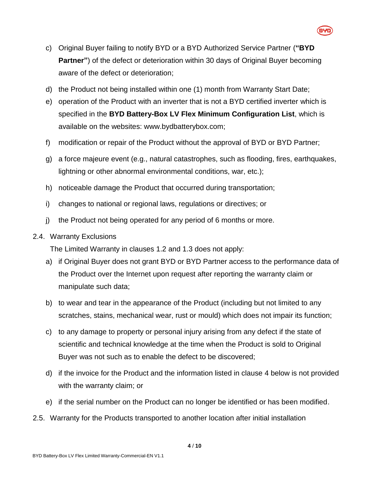

- c) Original Buyer failing to notify BYD or a BYD Authorized Service Partner (**"BYD Partner"**) of the defect or deterioration within 30 days of Original Buyer becoming aware of the defect or deterioration;
- d) the Product not being installed within one (1) month from Warranty Start Date;
- e) operation of the Product with an inverter that is not a BYD certified inverter which is specified in the **BYD Battery-Box LV Flex Minimum Configuration List**, which is available on the websites: www.bydbatterybox.com;
- f) modification or repair of the Product without the approval of BYD or BYD Partner;
- g) a force majeure event (e.g., natural catastrophes, such as flooding, fires, earthquakes, lightning or other abnormal environmental conditions, war, etc.);
- h) noticeable damage the Product that occurred during transportation;
- i) changes to national or regional laws, regulations or directives; or
- j) the Product not being operated for any period of 6 months or more.
- 2.4. Warranty Exclusions

The Limited Warranty in clauses [1.2](#page-0-1) and [1.3](#page-0-0) does not apply:

- a) if Original Buyer does not grant BYD or BYD Partner access to the performance data of the Product over the Internet upon request after reporting the warranty claim or manipulate such data;
- b) to wear and tear in the appearance of the Product (including but not limited to any scratches, stains, mechanical wear, rust or mould) which does not impair its function;
- c) to any damage to property or personal injury arising from any defect if the state of scientific and technical knowledge at the time when the Product is sold to Original Buyer was not such as to enable the defect to be discovered;
- d) if the invoice for the Product and the information listed in clause [4](#page-5-0) below is not provided with the warranty claim; or
- e) if the serial number on the Product can no longer be identified or has been modified.
- 2.5. Warranty for the Products transported to another location after initial installation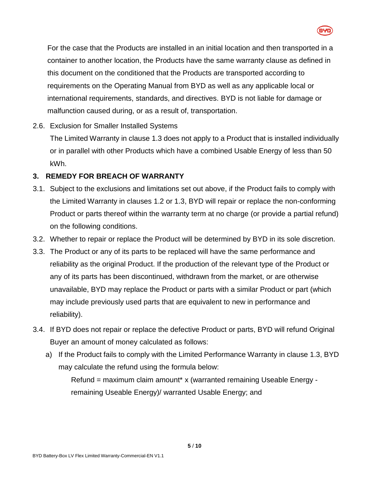

For the case that the Products are installed in an initial location and then transported in a container to another location, the Products have the same warranty clause as defined in this document on the conditioned that the Products are transported according to requirements on the Operating Manual from BYD as well as any applicable local or international requirements, standards, and directives. BYD is not liable for damage or malfunction caused during, or as a result of, transportation.

# 2.6. Exclusion for Smaller Installed Systems

The Limited Warranty in clause [1.3](#page-0-0) does not apply to a Product that is installed individually or in parallel with other Products which have a combined Usable Energy of less than 50 kWh.

## **3. REMEDY FOR BREACH OF WARRANTY**

- 3.1. Subject to the exclusions and limitations set out above, if the Product fails to comply with the Limited Warranty in clauses [1.2](#page-0-1) or [1.3,](#page-0-0) BYD will repair or replace the non-conforming Product or parts thereof within the warranty term at no charge (or provide a partial refund) on the following conditions.
- 3.2. Whether to repair or replace the Product will be determined by BYD in its sole discretion.
- 3.3. The Product or any of its parts to be replaced will have the same performance and reliability as the original Product. If the production of the relevant type of the Product or any of its parts has been discontinued, withdrawn from the market, or are otherwise unavailable, BYD may replace the Product or parts with a similar Product or part (which may include previously used parts that are equivalent to new in performance and reliability).
- 3.4. If BYD does not repair or replace the defective Product or parts, BYD will refund Original Buyer an amount of money calculated as follows:
	- a) If the Product fails to comply with the Limited Performance Warranty in clause [1.3,](#page-0-0) BYD may calculate the refund using the formula below:

Refund = maximum claim amount\* x (warranted remaining Useable Energy remaining Useable Energy)/ warranted Usable Energy; and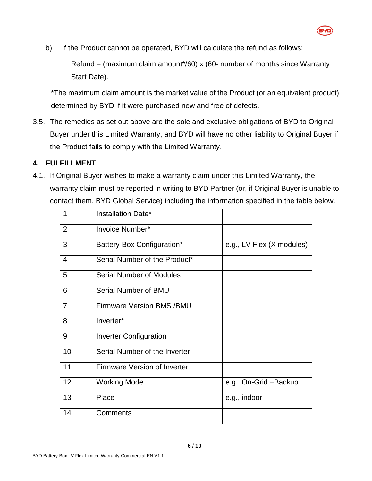

b) If the Product cannot be operated, BYD will calculate the refund as follows:

Refund = (maximum claim amount\*/60) x (60- number of months since Warranty Start Date).

\*The maximum claim amount is the market value of the Product (or an equivalent product) determined by BYD if it were purchased new and free of defects.

3.5. The remedies as set out above are the sole and exclusive obligations of BYD to Original Buyer under this Limited Warranty, and BYD will have no other liability to Original Buyer if the Product fails to comply with the Limited Warranty.

## <span id="page-5-0"></span>**4. FULFILLMENT**

4.1. If Original Buyer wishes to make a warranty claim under this Limited Warranty, the warranty claim must be reported in writing to BYD Partner (or, if Original Buyer is unable to contact them, BYD Global Service) including the information specified in the table below.

| 1              | Installation Date*                  |                           |
|----------------|-------------------------------------|---------------------------|
| $\overline{2}$ | Invoice Number*                     |                           |
| 3              | Battery-Box Configuration*          | e.g., LV Flex (X modules) |
| 4              | Serial Number of the Product*       |                           |
| 5              | <b>Serial Number of Modules</b>     |                           |
| 6              | Serial Number of BMU                |                           |
| $\overline{7}$ | <b>Firmware Version BMS /BMU</b>    |                           |
| 8              | Inverter*                           |                           |
| 9              | <b>Inverter Configuration</b>       |                           |
| 10             | Serial Number of the Inverter       |                           |
| 11             | <b>Firmware Version of Inverter</b> |                           |
| 12             | <b>Working Mode</b>                 | e.g., On-Grid +Backup     |
| 13             | Place                               | e.g., indoor              |
| 14             | Comments                            |                           |
|                |                                     |                           |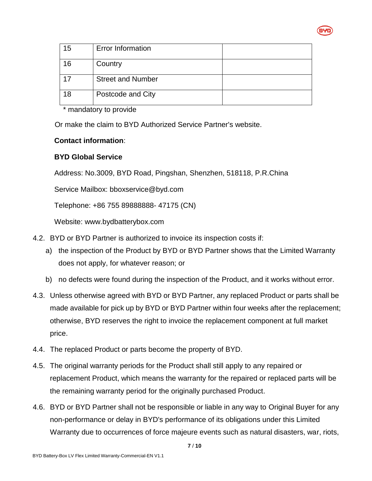

| 15 | <b>Error Information</b> |  |
|----|--------------------------|--|
| 16 | Country                  |  |
| 17 | <b>Street and Number</b> |  |
| 18 | Postcode and City        |  |

\* mandatory to provide

Or make the claim to BYD Authorized Service Partner's website.

## **Contact information**:

## **BYD Global Service**

Address: No.3009, BYD Road, Pingshan, Shenzhen, 518118, P.R.China

Service Mailbox: bboxservice@byd.com

Telephone: +86 755 89888888- 47175 (CN)

Website: www.bydbatterybox.com

- 4.2. BYD or BYD Partner is authorized to invoice its inspection costs if:
	- a) the inspection of the Product by BYD or BYD Partner shows that the Limited Warranty does not apply, for whatever reason; or
	- b) no defects were found during the inspection of the Product, and it works without error.
- 4.3. Unless otherwise agreed with BYD or BYD Partner, any replaced Product or parts shall be made available for pick up by BYD or BYD Partner within four weeks after the replacement; otherwise, BYD reserves the right to invoice the replacement component at full market price.
- 4.4. The replaced Product or parts become the property of BYD.
- 4.5. The original warranty periods for the Product shall still apply to any repaired or replacement Product, which means the warranty for the repaired or replaced parts will be the remaining warranty period for the originally purchased Product.
- 4.6. BYD or BYD Partner shall not be responsible or liable in any way to Original Buyer for any non-performance or delay in BYD's performance of its obligations under this Limited Warranty due to occurrences of force majeure events such as natural disasters, war, riots,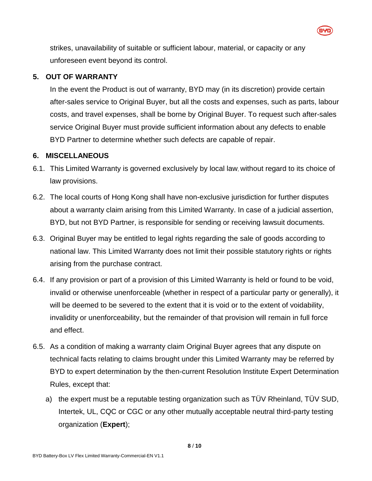strikes, unavailability of suitable or sufficient labour, material, or capacity or any unforeseen event beyond its control.

#### **5. OUT OF WARRANTY**

In the event the Product is out of warranty, BYD may (in its discretion) provide certain after-sales service to Original Buyer, but all the costs and expenses, such as parts, labour costs, and travel expenses, shall be borne by Original Buyer. To request such after-sales service Original Buyer must provide sufficient information about any defects to enable BYD Partner to determine whether such defects are capable of repair.

#### **6. MISCELLANEOUS**

- 6.1. This Limited Warranty is governed exclusively by local law, without regard to its choice of law provisions.
- 6.2. The local courts of Hong Kong shall have non-exclusive jurisdiction for further disputes about a warranty claim arising from this Limited Warranty. In case of a judicial assertion, BYD, but not BYD Partner, is responsible for sending or receiving lawsuit documents.
- 6.3. Original Buyer may be entitled to legal rights regarding the sale of goods according to national law. This Limited Warranty does not limit their possible statutory rights or rights arising from the purchase contract.
- 6.4. If any provision or part of a provision of this Limited Warranty is held or found to be void, invalid or otherwise unenforceable (whether in respect of a particular party or generally), it will be deemed to be severed to the extent that it is void or to the extent of voidability, invalidity or unenforceability, but the remainder of that provision will remain in full force and effect.
- 6.5. As a condition of making a warranty claim Original Buyer agrees that any dispute on technical facts relating to claims brought under this Limited Warranty may be referred by BYD to expert determination by the then-current Resolution Institute Expert Determination Rules, except that:
	- a) the expert must be a reputable testing organization such as TÜV Rheinland, TÜV SUD, Intertek, UL, CQC or CGC or any other mutually acceptable neutral third-party testing organization (**Expert**);

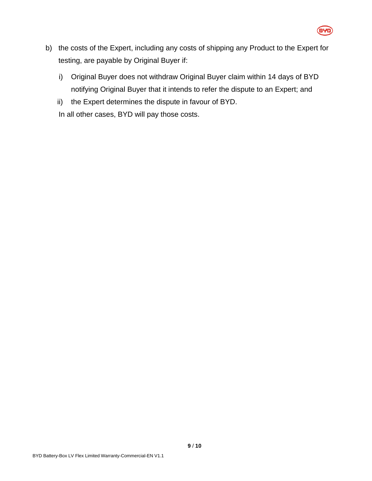

- b) the costs of the Expert, including any costs of shipping any Product to the Expert for testing, are payable by Original Buyer if:
	- i) Original Buyer does not withdraw Original Buyer claim within 14 days of BYD notifying Original Buyer that it intends to refer the dispute to an Expert; and
	- ii) the Expert determines the dispute in favour of BYD.

In all other cases, BYD will pay those costs.